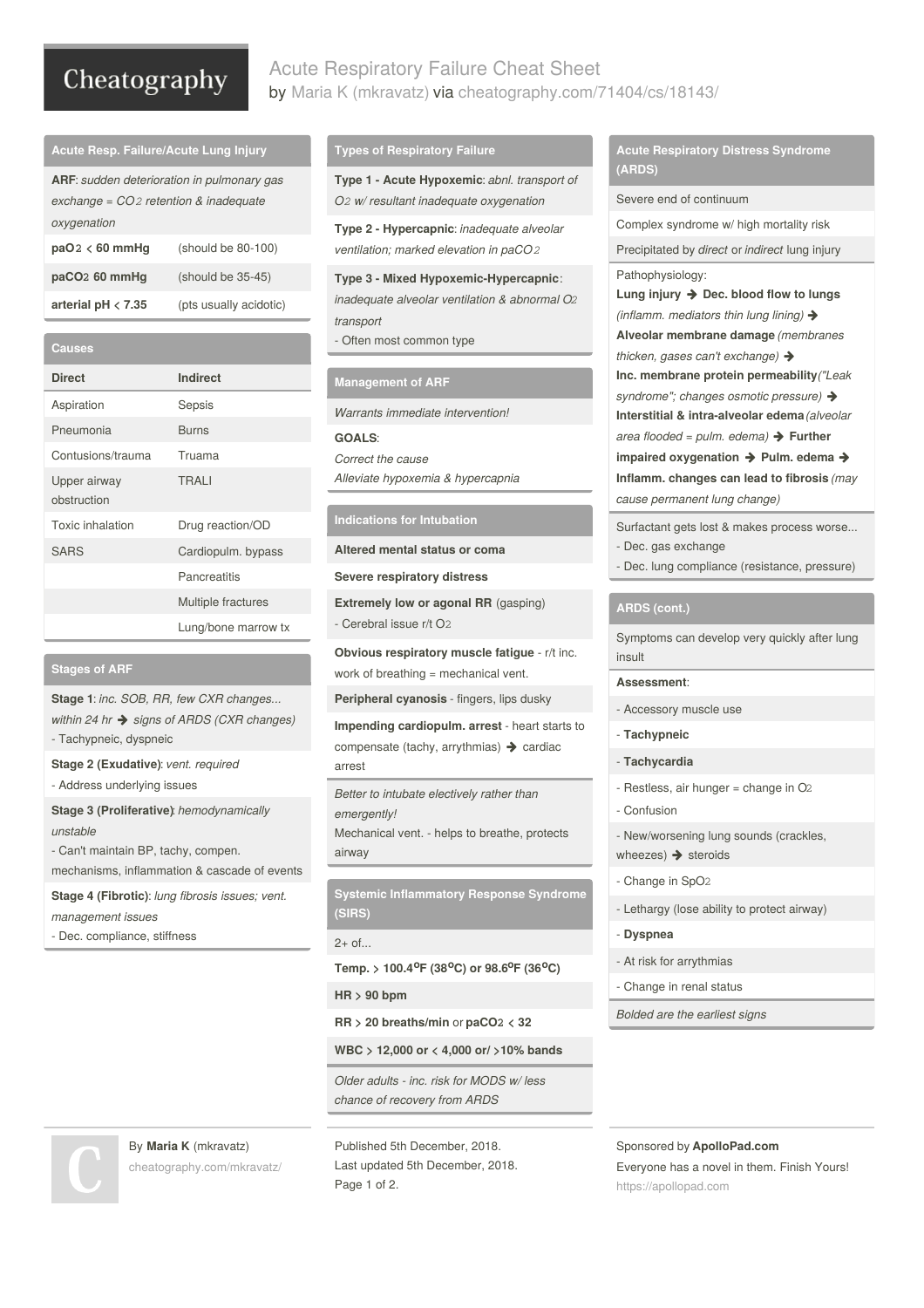# Cheatography

# Acute Respiratory Failure Cheat Sheet by Maria K [\(mkravatz\)](http://www.cheatography.com/mkravatz/) via [cheatography.com/71404/cs/18143/](http://www.cheatography.com/mkravatz/cheat-sheets/acute-respiratory-failure)

| <b>Acute Resp. Failure/Acute Lung Injury</b>                                                                |                        |  |
|-------------------------------------------------------------------------------------------------------------|------------------------|--|
| <b>ARF:</b> sudden deterioration in pulmonary gas<br>exchange = $CO2$ retention & inadequate<br>oxygenation |                        |  |
| $paO2 < 60$ mmHq                                                                                            | (should be 80-100)     |  |
| paCO <sub>2</sub> 60 mmHq                                                                                   | $(should be 35-45)$    |  |
| arterial $pH < 7.35$                                                                                        | (pts usually acidotic) |  |
|                                                                                                             |                        |  |

| Causes                      |                     |
|-----------------------------|---------------------|
| <b>Direct</b>               | <b>Indirect</b>     |
| Aspiration                  | Sepsis              |
| Pneumonia                   | Burns               |
| Contusions/trauma           | Truama              |
| Upper airway<br>obstruction | <b>TRAII</b>        |
| Toxic inhalation            | Drug reaction/OD    |
| <b>SARS</b>                 | Cardiopulm. bypass  |
|                             | Pancreatitis        |
|                             | Multiple fractures  |
|                             | Lung/bone marrow tx |

### **Stages of ARF**

**Stage 1**: *inc. SOB, RR, few CXR changes... within 24 hr signs of ARDS (CXR changes)* - Tachypneic, dyspneic

**Stage 2 (Exudative)**: *vent. required*

- Address underlying issues

**Stage 3 (Proliferative)**: *hemodynamically unstable*

- Can't maintain BP, tachy, compen.

mechanisms, inflammation & cascade of events

**Stage 4 (Fibrotic)**: *lung fibrosis issues; vent. management issues*

- Dec. compliance, stiffness

### **Types of Respiratory Failure**

**Type 1 - Acute Hypoxemic**: *abnl. transport of O2 w/ resultant inadequate oxygenation*

**Type 2 - Hypercapnic**: *inadequate alveolar ventilation; marked elevation in paCO2*

**Type 3 - Mixed Hypoxemic-Hypercapnic**: *inadequate alveolar ventilation & abnormal O2 transport* - Often most common type

# **Management of ARF**

*Warrants immediate intervention!*

**GOALS**:

*Correct the cause Alleviate hypoxemia & hypercapnia*

### **Indications for Intubation**

**Altered mental status or coma**

**Severe respiratory distress**

**Extremely low or agonal RR** (gasping) - Cerebral issue r/t O2

**Obvious respiratory muscle fatigue** - r/t inc. work of breathing = mechanical vent.

**Peripheral cyanosis** - fingers, lips dusky

**Impending cardiopulm. arrest** - heart starts to compensate (tachy, arrythmias)  $\rightarrow$  cardiac arrest

*Better to intubate electively rather than emergently!* Mechanical vent. - helps to breathe, protects airway

**Systemic Inflammatory Response Syndrome (SIRS)**

2+ of...

**Temp. > 100.4 F (38 C) or 98.6 F (36 C) o o o o**

**HR > 90 bpm**

**RR > 20 breaths/min** or **paCO2 < 32**

**WBC > 12,000 or < 4,000 or/ >10% bands**

*Older adults - inc. risk for MODS w/ less chance of recovery from ARDS*



By **Maria K** (mkravatz) [cheatography.com/mkravatz/](http://www.cheatography.com/mkravatz/)

Last updated 5th December, 2018. Page 1 of 2.

# **Acute Respiratory Distress Syndrome (ARDS)**

Severe end of continuum

Complex syndrome w/ high mortality risk

Precipitated by *direct* or *indirect* lung injury Pathophysiology:

**Lung injury Dec. blood flow to lungs** *(inflamm. mediators thin lung lining)* **Alveolar membrane damage** *(membranes thicken, gases can't exchange)* **Inc. membrane protein permeability***("Leak*

*syndrome"; changes osmotic pressure)*

**Interstitial & intra-alveolar edema***(alveolar*

*area flooded = pulm. edema)* **Further**

**impaired oxygenation** → Pulm. edema → **Inflamm. changes can lead to fibrosis** *(may*

*cause permanent lung change)*

Surfactant gets lost & makes process worse... - Dec. gas exchange

- Dec. lung compliance (resistance, pressure)

### **ARDS (cont.)**

Symptoms can develop very quickly after lung insult

### **Assessment**:

- Accessory muscle use
- **Tachypneic**
- **Tachycardia**
- Restless, air hunger = change in O2 - Confusion
- New/worsening lung sounds (crackles, wheezes)  $\rightarrow$  steroids
- Change in SpO2
- Lethargy (lose ability to protect airway)
- **Dyspnea**
- At risk for arrythmias
- Change in renal status

*Bolded are the earliest signs*

Sponsored by **ApolloPad.com** Everyone has a novel in them. Finish Yours! <https://apollopad.com>

Published 5th December, 2018.